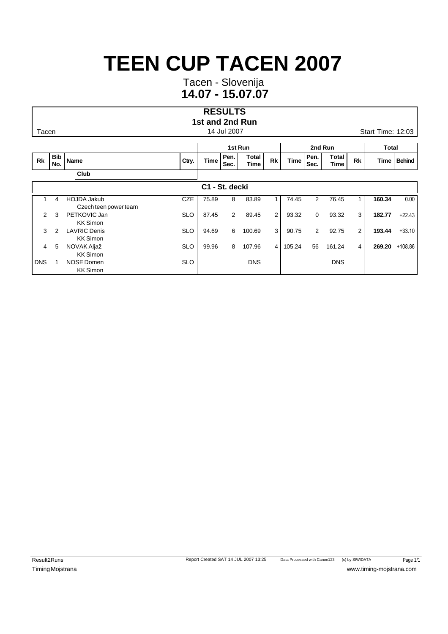Tacen - Slovenija **14.07 - 15.07.07**

#### **RESULTS 1st and 2nd Run**

|            |                   |                                             |            |       | 1st Run      |               |                |             | 2nd Run        |                      | Total |        |               |
|------------|-------------------|---------------------------------------------|------------|-------|--------------|---------------|----------------|-------------|----------------|----------------------|-------|--------|---------------|
| Rk         | <b>Bib</b><br>No. | <b>Name</b>                                 | Ctry.      | Time  | Pen.<br>Sec. | Total<br>Time | Rk             | <b>Time</b> | Pen.<br>Sec.   | Total<br><b>Time</b> | Rk    | Time   | <b>Behind</b> |
|            |                   | Club                                        |            |       |              |               |                |             |                |                      |       |        |               |
|            |                   |                                             |            | C1    | - St. decki  |               |                |             |                |                      |       |        |               |
|            | 4                 | <b>HOJDA Jakub</b><br>Czech teen power team | <b>CZE</b> | 75.89 | 8            | 83.89         |                | 74.45       | 2              | 76.45                |       | 160.34 | 0.00          |
| 2          | 3                 | PETKOVIC Jan<br><b>KK Simon</b>             | <b>SLO</b> | 87.45 | 2            | 89.45         | $\overline{2}$ | 93.32       | $\mathbf 0$    | 93.32                | 3     | 182.77 | $+22.43$      |
| 3          | $\mathcal{P}$     | <b>LAVRIC Denis</b><br><b>KK Simon</b>      | <b>SLO</b> | 94.69 | 6            | 100.69        | 3              | 90.75       | $\overline{2}$ | 92.75                | 2     | 193.44 | $+33.10$      |
| 4          | 5                 | NOVAK Aljaž<br><b>KK Simon</b>              | <b>SLO</b> | 99.96 | 8            | 107.96        | $\overline{4}$ | 105.24      | 56             | 161.24               | 4     | 269.20 | $+108.86$     |
| <b>DNS</b> |                   | <b>NOSE Domen</b><br><b>KK Simon</b>        | <b>SLO</b> |       |              | <b>DNS</b>    |                |             |                | <b>DNS</b>           |       |        |               |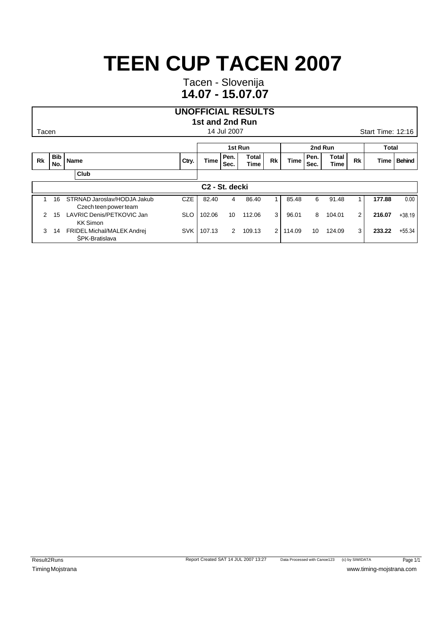Tacen - Slovenija **14.07 - 15.07.07**

### **UNOFFICIAL RESULTS**

### **1st and 2nd Run**

|           |                   |                                                      |            |                            | 1st Run      |               |                | 2nd Run     |              |                      |           | Total  |               |
|-----------|-------------------|------------------------------------------------------|------------|----------------------------|--------------|---------------|----------------|-------------|--------------|----------------------|-----------|--------|---------------|
| <b>Rk</b> | <b>Bib</b><br>No. | Name                                                 | Ctry.      | <b>Time</b>                | Pen.<br>Sec. | Total<br>Time | Rk             | <b>Time</b> | Pen.<br>Sec. | Total<br><b>Time</b> | <b>Rk</b> | Time   | <b>Behind</b> |
|           |                   | Club                                                 |            |                            |              |               |                |             |              |                      |           |        |               |
|           |                   |                                                      |            | C <sub>2</sub> - St. decki |              |               |                |             |              |                      |           |        |               |
|           | 16                | STRNAD Jaroslav/HODJA Jakub<br>Czech teen power team | <b>CZE</b> | 82.40                      | 4            | 86.40         |                | 85.48       | 6            | 91.48                |           | 177.88 | 0.00          |
|           | 15                | LAVRIC Denis/PETKOVIC Jan<br><b>KK Simon</b>         | <b>SLO</b> | 102.06                     | 10           | 112.06        | 3              | 96.01       | 8            | 104.01               | 2         | 216.07 | $+38.19$      |
| 3         | 14                | FRIDEL Michal/MALEK Andrej<br><b>SPK-Bratislava</b>  | <b>SVK</b> | 107.13                     | 2            | 109.13        | $\overline{2}$ | 114.09      | 10           | 124.09               | 3         | 233.22 | $+55.34$      |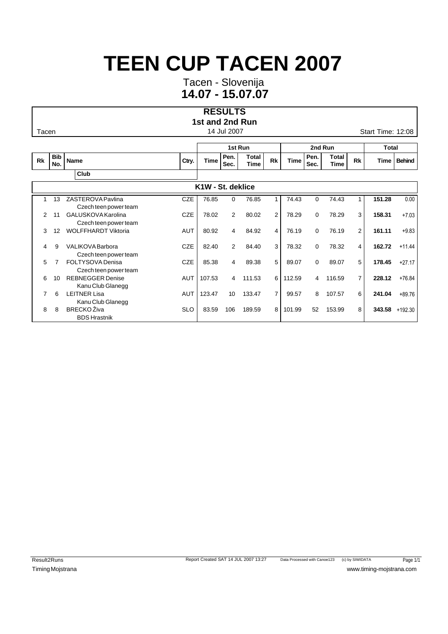Tacen - Slovenija **14.07 - 15.07.07**

#### **RESULTS 1st and 2nd Run**

Tacen **14 Jul 2007** Start Time: 12:08

|                |                   |                                                  |            |                   | 1st Run      |                      |                |             | 2nd Run      |               | Total          |        |                |
|----------------|-------------------|--------------------------------------------------|------------|-------------------|--------------|----------------------|----------------|-------------|--------------|---------------|----------------|--------|----------------|
| <b>Rk</b>      | <b>Bib</b><br>No. | Name                                             | Ctry.      | <b>Time</b>       | Pen.<br>Sec. | <b>Total</b><br>Time | <b>Rk</b>      | <b>Time</b> | Pen.<br>Sec. | Total<br>Time | <b>Rk</b>      | Time   | <b>Behind</b>  |
|                |                   | Club                                             |            |                   |              |                      |                |             |              |               |                |        |                |
|                |                   |                                                  |            | K1W - St. deklice |              |                      |                |             |              |               |                |        |                |
|                | 13                | ZASTEROVA Pavlina<br>Czech teen power team       | <b>CZE</b> | 76.85             | 0            | 76.85                | 1              | 74.43       | $\Omega$     | 74.43         | 1              | 151.28 | 0.00           |
| 2              | 11                | GALUSKOVA Karolina<br>Czech teen power team      | <b>CZE</b> | 78.02             | 2            | 80.02                | 2              | 78.29       | $\Omega$     | 78.29         | 3              | 158.31 | $+7.03$        |
| 3              | 12                | <b>WOLFFHARDT Viktoria</b>                       | <b>AUT</b> | 80.92             | 4            | 84.92                | 4              | 76.19       | $\Omega$     | 76.19         | $\overline{2}$ | 161.11 | $+9.83$        |
| $\overline{4}$ | 9                 | <b>VALIKOVA</b> Barbora<br>Czech teen power team | <b>CZE</b> | 82.40             | 2            | 84.40                | 3              | 78.32       | $\Omega$     | 78.32         | 4              | 162.72 | $+11.44$       |
| 5.             |                   | <b>FOLTYSOVA Denisa</b><br>Czech teen power team | <b>CZE</b> | 85.38             | 4            | 89.38                | 5              | 89.07       | $\Omega$     | 89.07         | 5              | 178.45 | $+27.17$       |
| 6              | 10                | <b>REBNEGGER Denise</b><br>Kanu Club Glanegg     | AUT        | 107.53            | 4            | 111.53               | 6              | 112.59      | 4            | 116.59        | $\overline{7}$ | 228.12 | $+76.84$       |
| $\overline{7}$ | 6                 | <b>LEITNER Lisa</b><br>Kanu Club Glanegg         | <b>AUT</b> | 123.47            | 10           | 133.47               | $\overline{7}$ | 99.57       | 8            | 107.57        | 6              | 241.04 | $+89.76$       |
| 8              | 8                 | <b>BRECKO Živa</b><br><b>BDS Hrastnik</b>        | <b>SLO</b> | 83.59             | 106          | 189.59               | 8              | 101.99      | 52           | 153.99        | 8              |        | 343.58 +192.30 |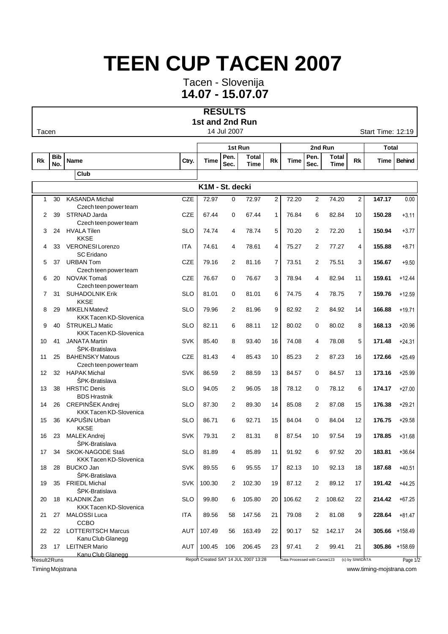Tacen - Slovenija **14.07 - 15.07.07**

#### **RESULTS 1st and 2nd Run**

Tacen 2:19

|              |                   |                                                 |            |                 |              | 1st Run                              |                |                              | 2nd Run      | <b>Total</b>  |                 |                |                |
|--------------|-------------------|-------------------------------------------------|------------|-----------------|--------------|--------------------------------------|----------------|------------------------------|--------------|---------------|-----------------|----------------|----------------|
| <b>Rk</b>    | <b>Bib</b><br>No. | <b>Name</b>                                     | Ctry.      | Time            | Pen.<br>Sec. | <b>Total</b><br><b>Time</b>          | Rk             | <b>Time</b>                  | Pen.<br>Sec. | Total<br>Time | Rk              | Time           | <b>Behind</b>  |
|              |                   | Club                                            |            |                 |              |                                      |                |                              |              |               |                 |                |                |
|              |                   |                                                 |            | K1M - St. decki |              |                                      |                |                              |              |               |                 |                |                |
| $\mathbf{1}$ | 30                | <b>KASANDA Michal</b>                           | <b>CZE</b> | 72.97           | $\mathbf 0$  | 72.97                                | $\overline{2}$ | 72.20                        | 2            | 74.20         | $\overline{2}$  | 147.17         | 0.00           |
|              |                   | Czech teen power team                           |            |                 |              |                                      |                |                              |              |               |                 |                |                |
| 2            | 39                | STRNAD Jarda                                    | <b>CZE</b> | 67.44           | 0            | 67.44                                | 1              | 76.84                        | 6            | 82.84         | 10              | 150.28         | $+3.11$        |
|              |                   | Czech teen power team                           |            |                 |              |                                      |                |                              |              |               |                 |                |                |
| 3            | 24                | <b>HVALA Tilen</b>                              | <b>SLO</b> | 74.74           | 4            | 78.74                                | 5              | 70.20                        | 2            | 72.20         | $\mathbf{1}$    | 150.94         | $+3.77$        |
|              |                   | <b>KKSE</b>                                     |            |                 |              |                                      |                |                              |              |               |                 |                |                |
| 4            | 33                | VERONESI Lorenzo                                | <b>ITA</b> | 74.61           | 4            | 78.61                                | $\overline{4}$ | 75.27                        | 2            | 77.27         | 4               | 155.88         | $+8.71$        |
|              |                   | <b>SC</b> Eridano                               |            |                 |              |                                      |                |                              |              |               |                 |                |                |
| 5            | 37                | <b>URBAN Tom</b>                                | <b>CZE</b> | 79.16           | 2            | 81.16                                | $\overline{7}$ | 73.51                        | 2            | 75.51         | 3               | 156.67         | $+9.50$        |
|              |                   | Czech teen power team                           |            |                 |              |                                      |                |                              |              |               |                 |                |                |
| 6            | 20                | NOVAK Tomaš                                     | <b>CZE</b> | 76.67           | 0            | 76.67                                | 3              | 78.94                        | 4            | 82.94         | 11              | 159.61         | $+12.44$       |
| 7            | 31                | Czech teen power team<br><b>SUHADOLNIK Erik</b> | <b>SLO</b> | 81.01           | 0            | 81.01                                | 6              | 74.75                        | 4            | 78.75         | 7               | 159.76         | $+12.59$       |
|              |                   | <b>KKSE</b>                                     |            |                 |              |                                      |                |                              |              |               |                 |                |                |
| 8            | 29                | MIKELN Matevž                                   | <b>SLO</b> | 79.96           | 2            | 81.96                                | 9              | 82.92                        | 2            | 84.92         | 14              | 166.88         | $+19.71$       |
|              |                   | <b>KKK Tacen KD-Slovenica</b>                   |            |                 |              |                                      |                |                              |              |               |                 |                |                |
| 9            | 40                | <b>STRUKELJ Matic</b>                           | <b>SLO</b> | 82.11           | 6            | 88.11                                | 12             | 80.02                        | 0            | 80.02         | 8               | 168.13         | $+20.96$       |
|              |                   | <b>KKK Tacen KD-Slovenica</b>                   |            |                 |              |                                      |                |                              |              |               |                 |                |                |
| 10           | 41                | <b>JANATA Martin</b>                            | <b>SVK</b> | 85.40           | 8            | 93.40                                | 16             | 74.08                        | 4            | 78.08         | 5               | 171.48         | $+24.31$       |
|              |                   | ŠPK-Bratislava                                  |            |                 |              |                                      |                |                              |              |               |                 |                |                |
| 11           | 25                | <b>BAHENSKY Matous</b>                          | <b>CZE</b> | 81.43           | 4            | 85.43                                | 10             | 85.23                        | 2            | 87.23         | 16              | 172.66         | $+25.49$       |
|              |                   | Czech teen power team                           |            |                 |              |                                      |                |                              |              |               |                 |                |                |
| 12           | 32                | <b>HAPAK Michal</b>                             | <b>SVK</b> | 86.59           | 2            | 88.59                                | 13             | 84.57                        | 0            | 84.57         | 13              | 173.16         | $+25.99$       |
|              |                   | ŠPK-Bratislava                                  |            |                 |              |                                      |                |                              |              |               |                 |                |                |
| 13           | 38                | <b>HRSTIC Denis</b>                             | <b>SLO</b> | 94.05           | 2            | 96.05                                | 18             | 78.12                        | 0            | 78.12         | 6               | 174.17         | $+27.00$       |
|              |                   | <b>BDS Hrastnik</b>                             |            |                 |              |                                      |                |                              |              |               |                 |                |                |
| 14           | 26                | CREPINŠEK Andrej                                | SLO        | 87.30           | 2            | 89.30                                | 14             | 85.08                        | 2            | 87.08         | 15              | 176.38         | $+29.21$       |
|              |                   | <b>KKK Tacen KD-Slovenica</b>                   |            |                 |              |                                      |                |                              |              |               |                 |                |                |
| 15           | 36                | KAPUŠIN Urban                                   | <b>SLO</b> | 86.71           | 6            | 92.71                                | 15             | 84.04                        | 0            | 84.04         | 12              | 176.75         | $+29.58$       |
|              |                   | <b>KKSE</b>                                     |            |                 |              |                                      |                |                              |              |               |                 |                |                |
| 16           | 23                | <b>MALEK Andrej</b>                             | <b>SVK</b> | 79.31           | 2            | 81.31                                | 8              | 87.54                        | 10           | 97.54         | 19              | 178.85         | $+31.68$       |
|              |                   | ŠPK-Bratislava                                  |            |                 |              |                                      |                |                              |              |               |                 |                |                |
| 17           | 34                | SKOK-NAGODE Staš                                | SLO        | 81.89           | 4            | 85.89                                | 11             | 91.92                        | 6            | 97.92         | 20              | 183.81         | $+36.64$       |
|              |                   | <b>KKK Tacen KD-Slovenica</b>                   |            |                 |              |                                      |                |                              |              |               |                 |                |                |
| 18           | 28                | <b>BUCKO Jan</b>                                | <b>SVK</b> | 89.55           | 6            | 95.55                                | 17             | 82.13                        | 10           | 92.13         | 18              | 187.68         | $+40.51$       |
| 19           | 35                | ŠPK-Bratislava<br>FRIEDL Michal                 | SVK        | 100.30          | 2            | 102.30                               | 19             | 87.12                        | 2            | 89.12         |                 | 191.42         | $+44.25$       |
|              |                   | ŠPK-Bratislava                                  |            |                 |              |                                      |                |                              |              |               | 17              |                |                |
| 20           | 18                | KLADNIK Žan                                     | SLO        | 99.80           | 6            | 105.80                               | 20             | 106.62                       | 2            | 108.62        | 22              | 214.42         | $+67.25$       |
|              |                   | <b>KKK Tacen KD-Slovenica</b>                   |            |                 |              |                                      |                |                              |              |               |                 |                |                |
| 21           | 27                | <b>MALOSSI Luca</b>                             | ITA        | 89.56           | 58           | 147.56                               | 21             | 79.08                        | 2            | 81.08         | 9               | 228.64         | $+81.47$       |
|              |                   | CCBO                                            |            |                 |              |                                      |                |                              |              |               |                 |                |                |
| 22           | 22                | <b>LOTTERITSCH Marcus</b>                       | AUT        | 107.49          | 56           | 163.49                               | 22             | 90.17                        | 52           | 142.17        | 24              |                | 305.66 +158.49 |
|              |                   | Kanu Club Glanegg                               |            |                 |              |                                      |                |                              |              |               |                 |                |                |
| 23           |                   | 17 LEITNER Mario                                | AUT        | 100.45          | 106          | 206.45                               | 23             | 97.41                        | 2            | 99.41         | 21              | 305.86 +158.69 |                |
|              |                   | Kanu Club Glanegg                               |            |                 |              |                                      |                |                              |              |               |                 |                |                |
| Result2Runs  |                   |                                                 |            |                 |              | Report Created SAT 14 JUL 2007 13:28 |                | Data Processed with Canoe123 |              |               | (c) by SIWIDATA |                | Page 1/2       |

 $\mathcal{O}$  and  $\mathcal{O}$ 

Timing Mojstrana www.timing-mojstrana.com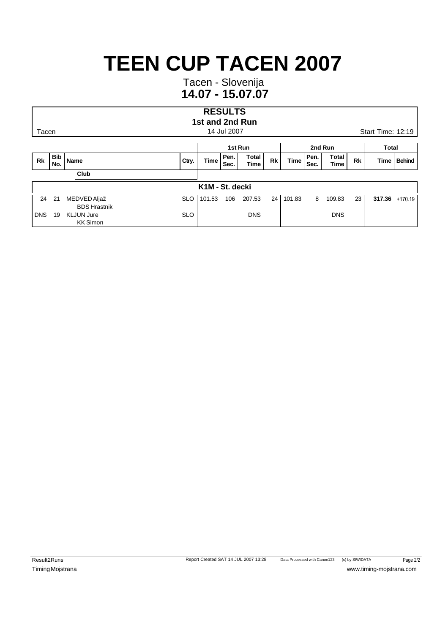Tacen - Slovenija **14.07 - 15.07.07**

#### **RESULTS 1st and 2nd Run**

|            |                   |                                      |            |                 | 1st Run      |                      |    |             | 2nd Run      | Total                |    |  |                |
|------------|-------------------|--------------------------------------|------------|-----------------|--------------|----------------------|----|-------------|--------------|----------------------|----|--|----------------|
| Rk         | <b>Bib</b><br>No. | Name                                 | Ctry.      | Time            | Pen.<br>Sec. | Total<br><b>Time</b> | Rk | <b>Time</b> | Pen.<br>Sec. | Total<br><b>Time</b> | Rk |  | Time   Behind  |
|            |                   | Club                                 |            |                 |              |                      |    |             |              |                      |    |  |                |
|            |                   |                                      |            | K1M - St. decki |              |                      |    |             |              |                      |    |  |                |
| 24         | 21                | MEDVED Aljaž<br><b>BDS Hrastnik</b>  | <b>SLO</b> | 101.53          | 106          | 207.53               | 24 | 101.83      | 8            | 109.83               | 23 |  | 317.36 +170.19 |
| <b>DNS</b> | 19                | <b>KLJUN Jure</b><br><b>KK Simon</b> | <b>SLO</b> |                 |              | <b>DNS</b>           |    |             |              | <b>DNS</b>           |    |  |                |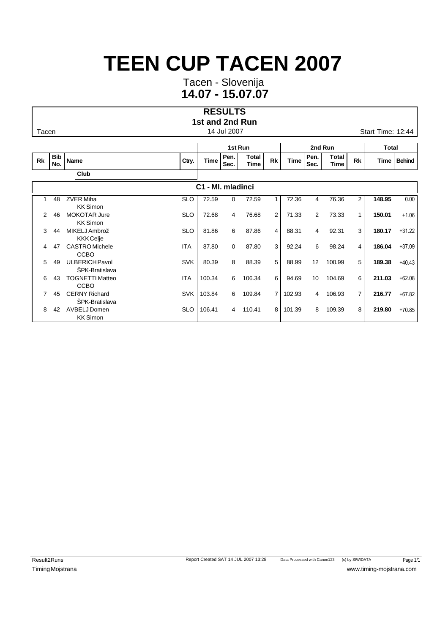Tacen - Slovenija **14.07 - 15.07.07**

#### **RESULTS 1st and 2nd Run**

Tacen **14 Jul 2007** Start Time: 12:44

|           |                   |                                                |            |                   | 1st Run      |                      |                |             | 2nd Run      |               | <b>Total</b>   |        |               |
|-----------|-------------------|------------------------------------------------|------------|-------------------|--------------|----------------------|----------------|-------------|--------------|---------------|----------------|--------|---------------|
| <b>Rk</b> | <b>Bib</b><br>No. | <b>Name</b>                                    | Ctry.      | Time              | Pen.<br>Sec. | <b>Total</b><br>Time | <b>Rk</b>      | <b>Time</b> | Pen.<br>Sec. | Total<br>Time | <b>Rk</b>      | Time   | <b>Behind</b> |
|           |                   | Club                                           |            |                   |              |                      |                |             |              |               |                |        |               |
|           |                   |                                                |            | C1 - MI. mladinci |              |                      |                |             |              |               |                |        |               |
|           | 48                | <b>ZVER Miha</b><br><b>KK Simon</b>            | <b>SLO</b> | 72.59             | 0            | 72.59                | 1              | 72.36       | 4            | 76.36         | $\overline{2}$ | 148.95 | 0.00          |
| 2         | 46                | <b>MOKOTAR Jure</b><br><b>KK Simon</b>         | <b>SLO</b> | 72.68             | 4            | 76.68                | $\overline{2}$ | 71.33       | 2            | 73.33         | 1              | 150.01 | $+1.06$       |
| 3         | 44                | MIKELJ Ambrož<br><b>KKK</b> Celje              | <b>SLO</b> | 81.86             | 6            | 87.86                | 4              | 88.31       | 4            | 92.31         | 3              | 180.17 | $+31.22$      |
| 4         | 47                | <b>CASTRO</b> Michele<br><b>CCBO</b>           | <b>ITA</b> | 87.80             | 0            | 87.80                | 3              | 92.24       | 6            | 98.24         | 4              | 186.04 | $+37.09$      |
| 5         | 49                | <b>ULBERICH Pavol</b><br><b>SPK-Bratislava</b> | <b>SVK</b> | 80.39             | 8            | 88.39                | 5              | 88.99       | 12           | 100.99        | 5              | 189.38 | $+40.43$      |
| 6         | 43                | <b>TOGNETTI Matteo</b><br><b>CCBO</b>          | <b>ITA</b> | 100.34            | 6            | 106.34               | 6              | 94.69       | 10           | 104.69        | 6              | 211.03 | $+62.08$      |
| 7         | 45                | <b>CERNY Richard</b><br>ŠPK-Bratislava         | <b>SVK</b> | 103.84            | 6            | 109.84               | $\overline{7}$ | 102.93      | 4            | 106.93        | 7              | 216.77 | $+67.82$      |
| 8         | 42                | AVBELJ Domen<br><b>KK Simon</b>                | <b>SLO</b> | 106.41            | 4            | 110.41               | 8              | 101.39      | 8            | 109.39        | 8              | 219.80 | $+70.85$      |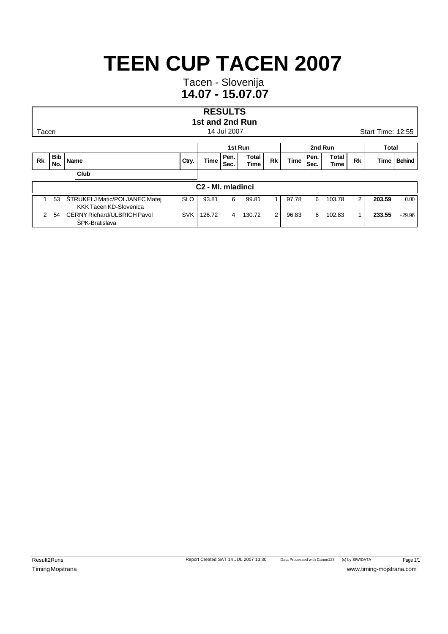Tacen - Slovenija **14.07 - 15.07.07**

#### **RESULTS 1st and 2nd Run**

Tacen **14 Jul 2007** Start Time: 12:55

|               |                               |                                                         |            |        |              | 1st Run                     |                |             | 2nd Run      | Total                |    |        |          |
|---------------|-------------------------------|---------------------------------------------------------|------------|--------|--------------|-----------------------------|----------------|-------------|--------------|----------------------|----|--------|----------|
| Rk            | <b>Bib</b><br>No.             | Name                                                    | Ctry.      | Time   | Pen.<br>Sec. | <b>Total</b><br><b>Time</b> | Rk             | <b>Time</b> | Pen.<br>Sec. | Total<br><b>Time</b> | Rk | Time   | Behind   |
|               |                               | Club                                                    |            |        |              |                             |                |             |              |                      |    |        |          |
|               | C <sub>2</sub> - MI. mladinci |                                                         |            |        |              |                             |                |             |              |                      |    |        |          |
|               | 53                            | STRUKELJ Matic/POLJANEC Matej<br>KKK Tacen KD-Slovenica | SLO        | 93.81  | 6            | 99.81                       |                | 97.78       | 6            | 103.78               | 2  | 203.59 | 0.00     |
| $\mathcal{P}$ | 54                            | CERNY Richard/ULBRICH Pavol<br><b>SPK-Bratislava</b>    | <b>SVK</b> | 126.72 | 4            | 130.72                      | $\overline{2}$ | 96.83       | 6            | 102.83               |    | 233.55 | $+29.96$ |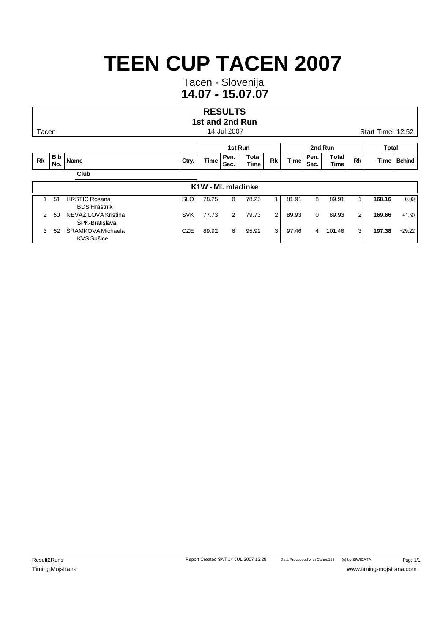Tacen - Slovenija **14.07 - 15.07.07**

#### **RESULTS 1st and 2nd Run**

|               |                   |                                               |            | 1st Run            |              |                      |                |             | 2nd Run      | <b>Total</b>         |                |        |               |
|---------------|-------------------|-----------------------------------------------|------------|--------------------|--------------|----------------------|----------------|-------------|--------------|----------------------|----------------|--------|---------------|
| <b>Rk</b>     | <b>Bib</b><br>No. | Name                                          | Ctry.      | <b>Time</b>        | Pen.<br>Sec. | <b>Total</b><br>Time | <b>Rk</b>      | <b>Time</b> | Pen.<br>Sec. | <b>Total</b><br>Time | <b>Rk</b>      | Time   | <b>Behind</b> |
|               |                   | Club                                          |            |                    |              |                      |                |             |              |                      |                |        |               |
|               |                   |                                               |            | K1W - MI. mladinke |              |                      |                |             |              |                      |                |        |               |
|               | 51                | <b>HRSTIC Rosana</b><br><b>BDS Hrastnik</b>   | <b>SLO</b> | 78.25              | 0            | 78.25                |                | 81.91       | 8            | 89.91                |                | 168.16 | 0.00          |
| $\mathcal{P}$ | 50                | NEVAŽILOVA Kristina<br><b>SPK-Bratislava</b>  | <b>SVK</b> | 77.73              | 2            | 79.73                | $\overline{2}$ | 89.93       | 0            | 89.93                | $\overline{2}$ | 169.66 | $+1.50$       |
| 3             | 52                | <b>SRAMKOVA Michaela</b><br><b>KVS Sušice</b> | <b>CZE</b> | 89.92              | 6            | 95.92                | 3              | 97.46       | 4            | 101.46               | 3              | 197.38 | $+29.22$      |